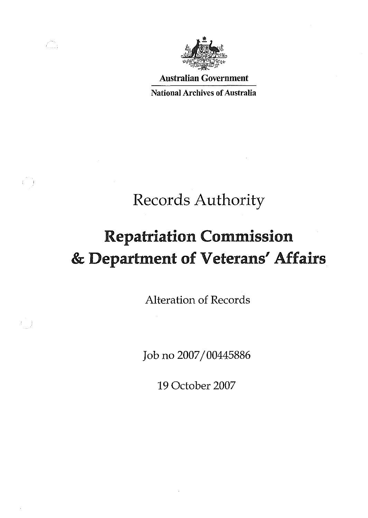

 $\hat{\mathcal{L}}^{max}$ 

 $\binom{2}{3}$ 

 $\left( \begin{array}{cc} 0 & 0 \\ 0 & 0 \end{array} \right)$ 

Australian Government

**National Archives of Australia** 

# Records Authority

# Repatriation Commission & Department of Veterans' Affairs

Alteration of Records

Job no 2007/00445886

19 October 2007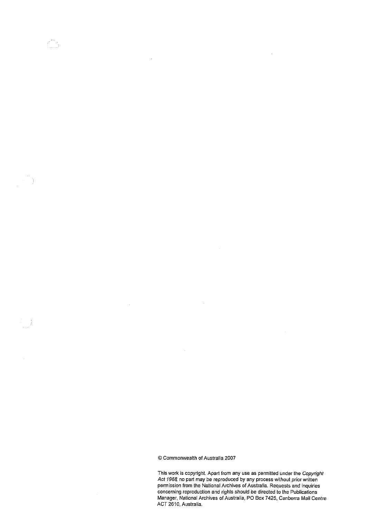© Commonwealth of Australia 2007

 $\bar{z}$ 

 $\bar{\mathcal{A}}$ 

7Ō.

 $\left\langle \begin{array}{c} 0 \\ 0 \\ 0 \end{array} \right\rangle$ 

 $\overline{\phantom{a}}$ 

This work is copyright. Apart from any use as permitted under the Copyright Act 1968 no part may be reproduced by any process without prior written permission from the National Archives of Australia. Requests and inquiries concerning reproduction and rights should be directed to the Publications Manager, National Archives of Australia, PO Box 7425, Canberra Mail Centre ACT 2610, Australia.

 $\overline{\phantom{a}}$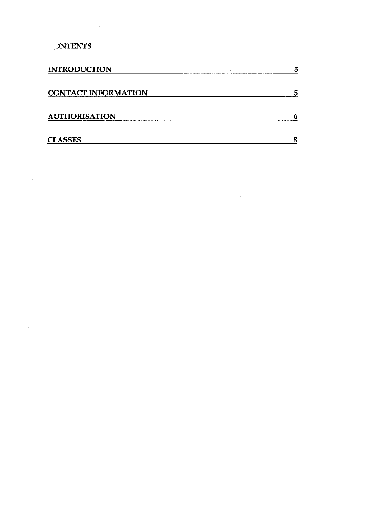**DNTENTS** 

l,

 $\left\langle \begin{array}{c} 1 \ 0 \ 0 \end{array} \right\rangle$ 

| <b>INTRODUCTION</b>        |    |
|----------------------------|----|
| <b>CONTACT INFORMATION</b> |    |
| <b>AUTHORISATION</b>       | fi |
| <b>CLASSES</b>             | 8  |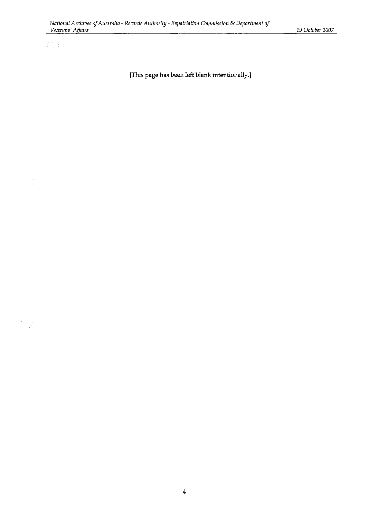Ziji 1

 $\begin{pmatrix} 1 \\ 1 \\ 0 \end{pmatrix}$ 

 $\left\{\begin{array}{c} 1 \\ 0 \end{array}\right\}$ 

## [This page has been left blank intentionally.]

l,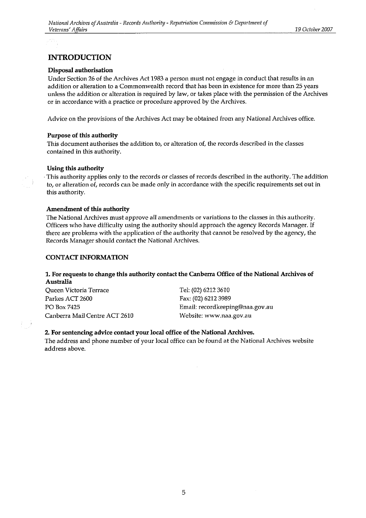### INTRODUCTION

#### Disposal authorisation

Under Section 26 of the Archives Act 1983 a person must not engage in conduct that results in an addition or alteration to a Commonwealth record that has been in existence for more than 25 years unless the addition or alteration is required by law, or takes place with the permission of the Archives or in accordance with a practice or procedure approved by the Archives.

Advice on the provisions of the Archives Act may be obtained from any National Archives office.

#### Purpose of this authority

This document authorises the addition to, or alteration of, the records described in the classes contained in this authority.

#### Using this authority

. This authority applies only to the records or classes of records described in the authority. The addition to, or alteration of, records can be made only in accordance with the specific requirements set out in this authority.

#### Amendment of this authority

The National Archives must approve all amendments or variations to the classes in this authority. Officers who have difficulty using the authority should approach the agency Records Manager. If there are problems with the application of the authority that cannot be resolved by the agency, the Records Manager should contact the National Archives.

#### CONTACT INFORMATION

#### 1. For requests to change this authority contact the Canberra Office of the National Archives of Australia

Queen Victoria Terrace Tel: (02) 6212 3610 Parkes ACT 2600 Fax: (02) 6212 3989 Canberra Mail Centre ACT 2610 Website: www.naa.gov.au

POBox 7425 Email: recordkeeping@naa.gov.au

#### 2. For sentencing advice contact your local office of the National Archives.

The address and phone number of your local office can be found at the National Archives website address above.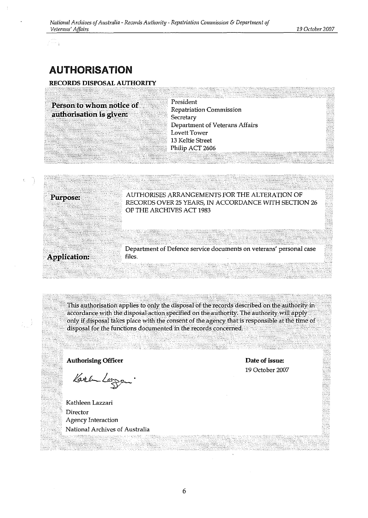# AUTHORISATION

',,; :.,,"..;

#### RECORDS DISPOSAL AUTHORITY

Person to whom notice of authorisation is given:

President Repatriation Commission **Secretary** Department of Veterans Affairs Lovett Tower 13 Keltie Street Philip ACT 2606



This authorisation applies to only the disposal of the records described on the authority in accordance with the disposal action specified on the authority. The authority will apply only if disposal takes place with the consent of the agency that is responsible at the time of disposal for the functions documented in the records concerned.

Authorising Officer **Date of issue:** Date of issue:

Karle Loggen

Kathleen Lazzari Director Agency Interaction National Archives of Australia 19 October 2007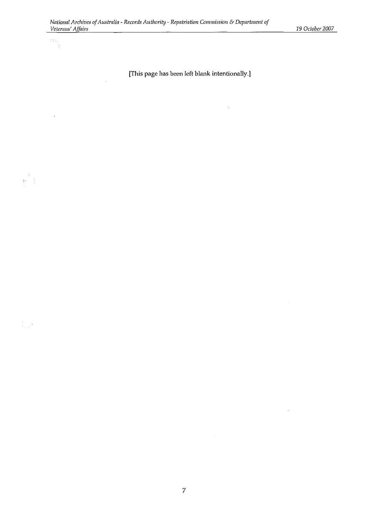$\epsilon$ 

[This page has been left blank intentionally.]

 $\hat{\mathcal{L}}$ 

Ļ,

 $\begin{pmatrix} 1 \\ 1 \\ 1 \end{pmatrix}$ 

 $\frac{1}{2} \frac{1}{2} \frac{1}{2}$ 

7